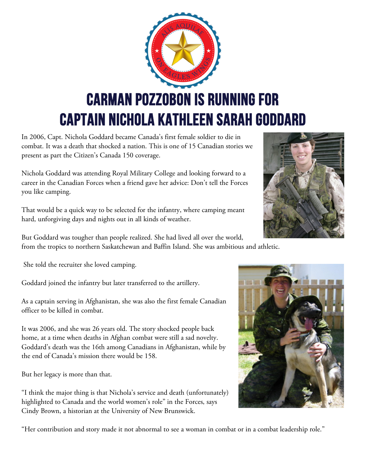

In 2006, Capt. Nichola Goddard became Canada's first female soldier to die in combat. It was a death that shocked a nation. This is one of 15 Canadian stories we present as part the Citizen's Canada 150 coverage.

Nichola Goddard was attending Royal Military College and looking forward to a career in the Canadian Forces when a friend gave her advice: Don't tell the Forces you like camping.

That would be a quick way to be selected for the infantry, where camping meant hard, unforgiving days and nights out in all kinds of weather.

But Goddard was tougher than people realized. She had lived all over the world, from the tropics to northern Saskatchewan and Baffin Island. She was ambitious and athletic.

She told the recruiter she loved camping.

Goddard joined the infantry but later transferred to the artillery.

As a captain serving in Afghanistan, she was also the first female Canadian officer to be killed in combat.

It was 2006, and she was 26 years old. The story shocked people back home, at a time when deaths in Afghan combat were still a sad novelty. Goddard's death was the 16th among Canadians in Afghanistan, while by the end of Canada's mission there would be 158.

But her legacy is more than that.

"I think the major thing is that Nichola's service and death (unfortunately) highlighted to Canada and the world women's role" in the Forces, says Cindy Brown, a historian at the University of New Brunswick.



"Her contribution and story made it not abnormal to see a woman in combat or in a combat leadership role."

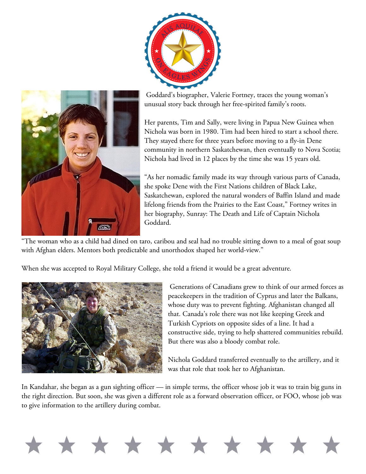



Goddard's biographer, Valerie Fortney, traces the young woman's unusual story back through her free-spirited family's roots.

Her parents, Tim and Sally, were living in Papua New Guinea when Nichola was born in 1980. Tim had been hired to start a school there. They stayed there for three years before moving to a fly-in Dene community in northern Saskatchewan, then eventually to Nova Scotia; Nichola had lived in 12 places by the time she was 15 years old.

"As her nomadic family made its way through various parts of Canada, she spoke Dene with the First Nations children of Black Lake, Saskatchewan, explored the natural wonders of Baffin Island and made lifelong friends from the Prairies to the East Coast," Fortney writes in her biography, Sunray: The Death and Life of Captain Nichola Goddard.

"The woman who as a child had dined on taro, caribou and seal had no trouble sitting down to a meal of goat soup with Afghan elders. Mentors both predictable and unorthodox shaped her world-view."

When she was accepted to Royal Military College, she told a friend it would be a great adventure.



Generations of Canadians grew to think of our armed forces as peacekeepers in the tradition of Cyprus and later the Balkans, whose duty was to prevent fighting. Afghanistan changed all that. Canada's role there was not like keeping Greek and Turkish Cypriots on opposite sides of a line. It had a constructive side, trying to help shattered communities rebuild. But there was also a bloody combat role.

Nichola Goddard transferred eventually to the artillery, and it was that role that took her to Afghanistan.

In Kandahar, she began as a gun sighting officer — in simple terms, the officer whose job it was to train big guns in the right direction. But soon, she was given a different role as a forward observation officer, or FOO, whose job was to give information to the artillery during combat.

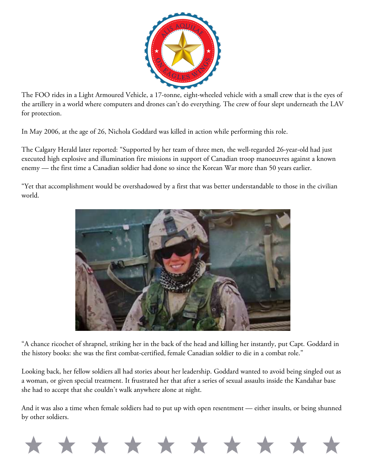

The FOO rides in a Light Armoured Vehicle, a 17-tonne, eight-wheeled vehicle with a small crew that is the eyes of the artillery in a world where computers and drones can't do everything. The crew of four slept underneath the LAV for protection.

In May 2006, at the age of 26, Nichola Goddard was killed in action while performing this role.

The Calgary Herald later reported: "Supported by her team of three men, the well-regarded 26-year-old had just executed high explosive and illumination fire missions in support of Canadian troop manoeuvres against a known enemy — the first time a Canadian soldier had done so since the Korean War more than 50 years earlier.

"Yet that accomplishment would be overshadowed by a first that was better understandable to those in the civilian world.



"A chance ricochet of shrapnel, striking her in the back of the head and killing her instantly, put Capt. Goddard in the history books: she was the first combat-certified, female Canadian soldier to die in a combat role."

Looking back, her fellow soldiers all had stories about her leadership. Goddard wanted to avoid being singled out as a woman, or given special treatment. It frustrated her that after a series of sexual assaults inside the Kandahar base she had to accept that she couldn't walk anywhere alone at night.

And it was also a time when female soldiers had to put up with open resentment — either insults, or being shunned by other soldiers.